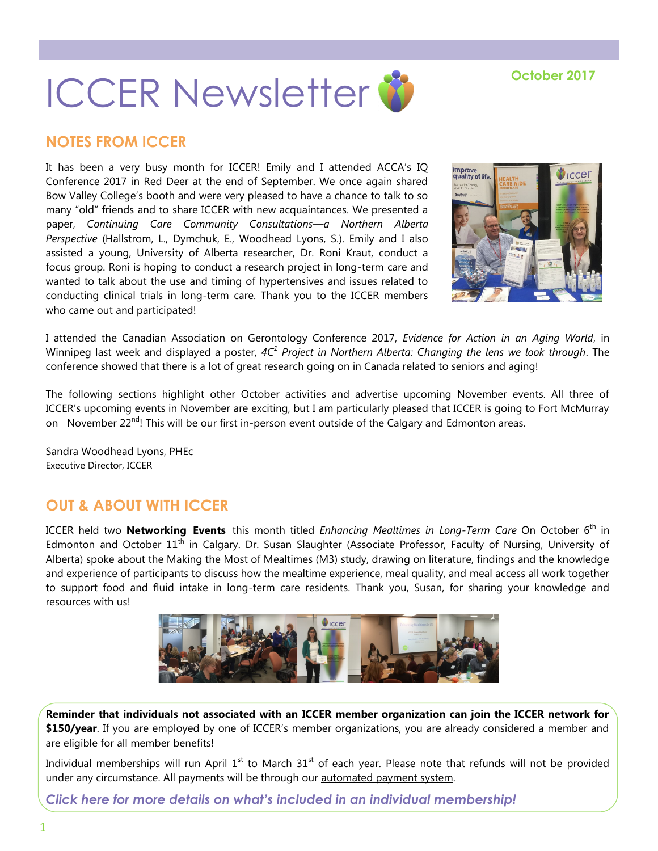# **ICCER Newsletter<sup>8</sup>**

# **NOTES FROM ICCER**

It has been a very busy month for ICCER! Emily and I attended ACCA's IQ Conference 2017 in Red Deer at the end of September. We once again shared Bow Valley College's booth and were very pleased to have a chance to talk to so many "old" friends and to share ICCER with new acquaintances. We presented a paper, *Continuing Care Community Consultations—a Northern Alberta Perspective* (Hallstrom, L., Dymchuk, E., Woodhead Lyons, S.). Emily and I also assisted a young, University of Alberta researcher, Dr. Roni Kraut, conduct a focus group. Roni is hoping to conduct a research project in long-term care and wanted to talk about the use and timing of hypertensives and issues related to conducting clinical trials in long-term care. Thank you to the ICCER members who came out and participated!



I attended the Canadian Association on Gerontology Conference 2017, *Evidence for Action in an Aging World*, in Winnipeg last week and displayed a poster, *4C<sup>1</sup> Project in Northern Alberta: Changing the lens we look through*. The conference showed that there is a lot of great research going on in Canada related to seniors and aging!

The following sections highlight other October activities and advertise upcoming November events. All three of ICCER's upcoming events in November are exciting, but I am particularly pleased that ICCER is going to Fort McMurray on November  $22^{nd}$ ! This will be our first in-person event outside of the Calgary and Edmonton areas.

Sandra Woodhead Lyons, PHEc Executive Director, ICCER

## **OUT & ABOUT WITH ICCER**

ICCER held two **Networking Events** this month titled *Enhancing Mealtimes in Long-Term Care* On October 6<sup>th</sup> in Edmonton and October 11<sup>th</sup> in Calgary. Dr. Susan Slaughter (Associate Professor, Faculty of Nursing, University of Alberta) spoke about the Making the Most of Mealtimes (M3) study, drawing on literature, findings and the knowledge and experience of participants to discuss how the mealtime experience, meal quality, and meal access all work together to support food and fluid intake in long-term care residents. Thank you, Susan, for sharing your knowledge and resources with us!



**Reminder that individuals not associated with an ICCER member organization can join the ICCER network for \$150/year**. If you are employed by one of ICCER's member organizations, you are already considered a member and are eligible for all member benefits!

Individual memberships will run April  $1<sup>st</sup>$  to March  $31<sup>st</sup>$  of each year. Please note that refunds will not be provided under any circumstance. All payments will be through our [automated payment system.](https://payment.augustana.ualberta.ca/store/Rehab+Medicine+-+ICCER+Store/)

*[Click here for more details on what's included in an individual membership!](http://iccer.ca/im.html)*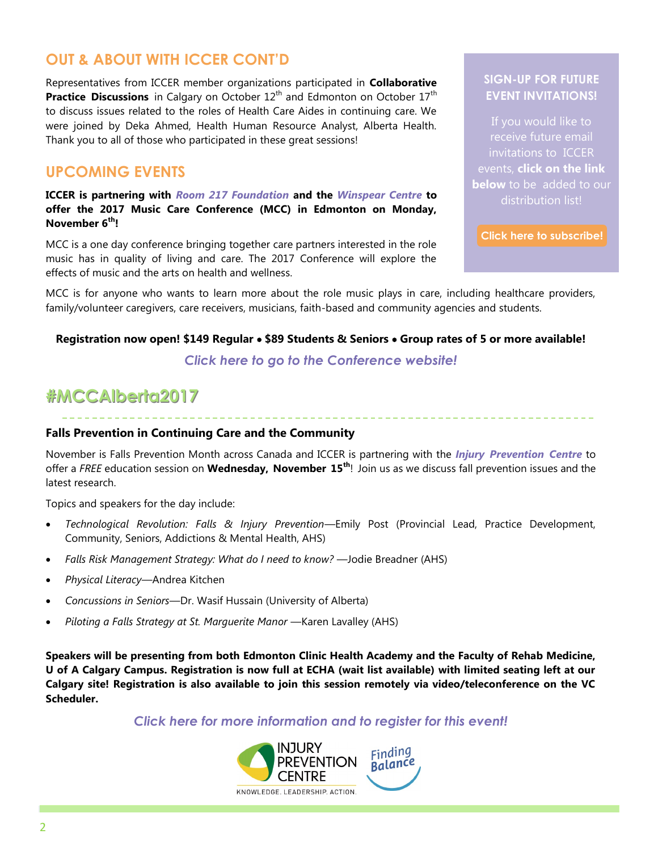## **OUT & ABOUT WITH ICCER CONT'D**

Representatives from ICCER member organizations participated in **Collaborative Practice Discussions** in Calgary on October 12<sup>th</sup> and Edmonton on October 17<sup>th</sup> to discuss issues related to the roles of Health Care Aides in continuing care. We were joined by Deka Ahmed, Health Human Resource Analyst, Alberta Health. Thank you to all of those who participated in these great sessions!

## **UPCOMING EVENTS**

**ICCER is partnering with** *[Room 217 Foundation](https://www.room217.ca/)* **and the** *[Winspear Centre](https://www.winspearcentre.com/wins-home?view=featured)* **to offer the 2017 Music Care Conference (MCC) in Edmonton on Monday, November 6th!** 

MCC is a one day conference bringing together care partners interested in the role music has in quality of living and care. The 2017 Conference will explore the effects of music and the arts on health and wellness.

## **SIGN-UP FOR FUTURE EVENT INVITATIONS!**

If you would like to receive future email invitations to ICCER events, **click on the link below** to be added to our distribution list!

**[Click here to subscribe!](https://visitor.r20.constantcontact.com/manage/optin?v=001MqUcqqvjwLD850nipaor0HtdI1Y9d8ED2u9ivDzRV7Gp5uTyf2p54vfsufOQXL7BcGZnnLM-9yRAw3TIqncd_CNV4yZzfE9gE8XUs-KE6So%3D)**

MCC is for anyone who wants to learn more about the role music plays in care, including healthcare providers, family/volunteer caregivers, care receivers, musicians, faith-based and community agencies and students.

#### **Registration now open! \$149 Regular \$89 Students & Seniors Group rates of 5 or more available!**

## *[Click here to go to the Conference website!](https://www.musiccareconference.ca/)*

# **#MCCAlberta2017**

### **Falls Prevention in Continuing Care and the Community**

November is Falls Prevention Month across Canada and ICCER is partnering with the *[Injury Prevention Centre](http://findingbalancealberta.ca/)* to offer a *FREE* education session on **Wednesday, November 15th**! Join us as we discuss fall prevention issues and the latest research.

Topics and speakers for the day include:

- *Technological Revolution: Falls & Injury Prevention*—Emily Post (Provincial Lead, Practice Development, Community, Seniors, Addictions & Mental Health, AHS)
- Falls Risk Management Strategy: What do I need to know? Jodie Breadner (AHS)
- *Physical Literacy*—Andrea Kitchen
- *Concussions in Seniors*—Dr. Wasif Hussain (University of Alberta)
- *Piloting a Falls Strategy at St. Marguerite Manor* Karen Lavalley (AHS)

**Speakers will be presenting from both Edmonton Clinic Health Academy and the Faculty of Rehab Medicine, U of A Calgary Campus. Registration is now full at ECHA (wait list available) with limited seating left at our Calgary site! Registration is also available to join this session remotely via video/teleconference on the VC Scheduler.**

*[Click here for more information and to register for this event!](http://events.constantcontact.com/register/event?llr=hnncpkfab&oeidk=a07eeopzffb1f8b9f48)*

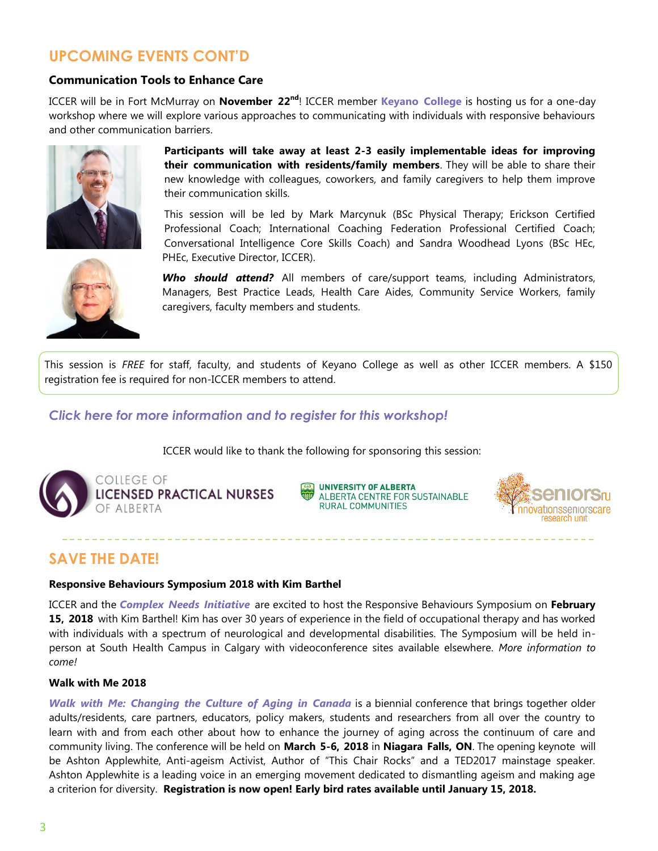# **UPCOMING EVENTS CONT'D**

#### **Communication Tools to Enhance Care**

ICCER will be in Fort McMurray on **November 22nd**! ICCER member **[Keyano College](http://www.keyano.ca/)** is hosting us for a one-day workshop where we will explore various approaches to communicating with individuals with responsive behaviours and other communication barriers.



**Participants will take away at least 2-3 easily implementable ideas for improving their communication with residents/family members**. They will be able to share their new knowledge with colleagues, coworkers, and family caregivers to help them improve their communication skills.

This session will be led by Mark Marcynuk (BSc Physical Therapy; Erickson Certified Professional Coach; International Coaching Federation Professional Certified Coach; Conversational Intelligence Core Skills Coach) and Sandra Woodhead Lyons (BSc HEc, PHEc, Executive Director, ICCER).



*Who should attend?* All members of care/support teams, including Administrators, Managers, Best Practice Leads, Health Care Aides, Community Service Workers, family caregivers, faculty members and students.

This session is *FREE* for staff, faculty, and students of Keyano College as well as other ICCER members. A \$150 registration fee is required for non-ICCER members to attend.

## *[Click here for more information and to register for this workshop!](http://events.constantcontact.com/register/event?llr=hnncpkfab&oeidk=a07eeojjowvb774af59)*

ICCER would like to thank the following for sponsoring this session:



COLLEGE OF **LICENSED PRACTICAL NURSES** OF ALBERTA

**UNIVERSITY OF ALBERTA** ALBERTA CENTRE FOR SUSTAINABLE **RURAL COMMUNITIES** 



## **SAVE THE DATE!**

#### **Responsive Behaviours Symposium 2018 with Kim Barthel**

ICCER and the *[Complex Needs Initiative](http://www.albertahealthservices.ca/info/Page9213.aspx)* are excited to host the Responsive Behaviours Symposium on **February 15, 2018** with Kim Barthel! Kim has over 30 years of experience in the field of occupational therapy and has worked with individuals with a spectrum of neurological and developmental disabilities. The Symposium will be held inperson at South Health Campus in Calgary with videoconference sites available elsewhere. *More information to come!*

#### **Walk with Me 2018**

*[Walk with Me: Changing the Culture of Aging in Canada](http://www.the-ria.ca/walkwithme/)* is a biennial conference that brings together older adults/residents, care partners, educators, policy makers, students and researchers from all over the country to learn with and from each other about how to enhance the journey of aging across the continuum of care and community living. The conference will be held on **March 5-6, 2018** in **Niagara Falls, ON**. The opening keynote will be Ashton Applewhite, Anti-ageism Activist, Author of "This Chair Rocks" and a TED2017 mainstage speaker. Ashton Applewhite is a leading voice in an emerging movement dedicated to dismantling ageism and making age a criterion for diversity. **Registration is now open! Early bird rates available until January 15, 2018.**